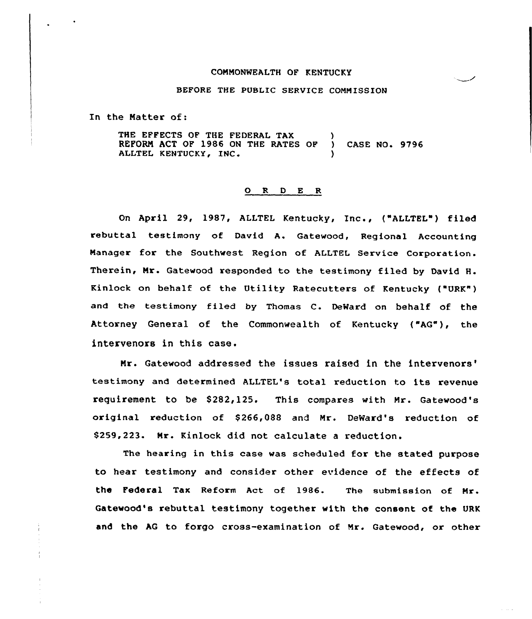## COMMONWEALTH OF KENTUCKY

## BEFORE THE PUBLIC SERVICE COMMISSION

In the Natter of:

THE EFFECTS OF THE FEDERAL TAX REFORN ACT OF 1986 ON THE RATES OF ) CASE NO. 9796 ALLTEL KENTUCKY, INC.

## 0 <sup>R</sup> <sup>D</sup> <sup>E</sup> <sup>R</sup>

On April 29, 1987, ALLTEL Kentucky, Inc., ("ALLTEL") filed rebuttal testimony of David A. Gatewood, Regional Accounting Manager for the Southwest Region of ALLTEL Service Corporation. Therein, Nr. Gatewood responded to the testimony filed by David H. Kinlock on behalf of the Utility Ratecutters of Kentucky ("URK") and the testimony filed by Thomas C. DeMard on behalf of the Attorney General of the Commonwealth of Kentucky {"AG"), the intervenors in this case.

Nr. Gatewood addressed the issues raised in the testimony and determined ALLTEL's total reduction to its revenue requirement to be \$282,125. This compares with Mr. Gatewood's original reduction of \$266,088 and Mr. DeWard's reduction of \$259,223. Nr. Kinlock did not calculate a reduction.

The hearing in this case was scheduled for the stated purpose to hear testimony and consider other evidence of the effects of the Federal Tax Reform Act of 1986. The submission of Mr. Gatewood's rebuttal testimony together with the consent of the URK and the AG to forgo cross-examination of Mr. Gatewood, or other